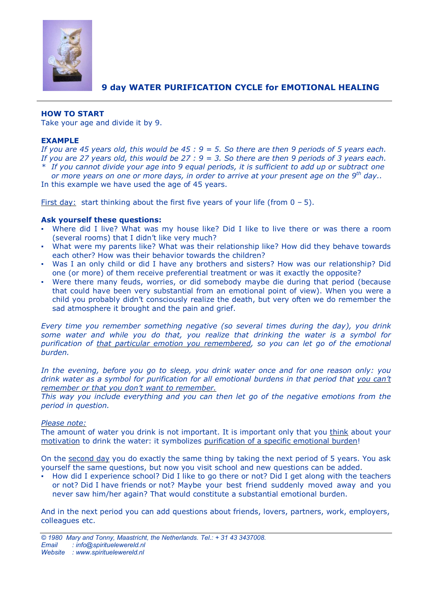

# **9 day WATER PURIFICATION CYCLE for EMOTIONAL HEALING**

## **HOW TO START**

Take your age and divide it by 9.

## **EXAMPLE**

If you are 45 years old, this would be  $45:9 = 5$ . So there are then 9 periods of 5 years each. If you are 27 years old, this would be  $27 : 9 = 3$ . So there are then 9 periods of 3 years each. \* If you cannot divide your age into 9 equal periods, it is sufficient to add up or subtract one

or more years on one or more days, in order to arrive at your present age on the 9<sup>th</sup> day.. In this example we have used the age of 45 years.

First day: start thinking about the first five years of your life (from  $0 - 5$ ).

## **Ask yourself these questions:**

- Where did I live? What was my house like? Did I like to live there or was there a room (several rooms) that I didn't like very much?
- What were my parents like? What was their relationship like? How did they behave towards each other? How was their behavior towards the children?
- Was I an only child or did I have any brothers and sisters? How was our relationship? Did one (or more) of them receive preferential treatment or was it exactly the opposite?
- Were there many feuds, worries, or did somebody maybe die during that period (because that could have been very substantial from an emotional point of view). When you were a child you probably didn't consciously realize the death, but very often we do remember the sad atmosphere it brought and the pain and grief.

*Every time you remember something negative (so several times during the day), you drink some water and while you do that, you realize that drinking the water is a symbol for purification of that particular emotion you remembered, so you can let go of the emotional burden.*

*In the evening, before you go to sleep, you drink water once and for one reason only: you* drink water as a symbol for purification for all emotional burdens in that period that you can't *remember or that you don't want to remember.*

*This way you include everything and you can then let go of the negative emotions from the period in question.*

## *Please note:*

The amount of water you drink is not important. It is important only that you think about your motivation to drink the water: it symbolizes purification of a specific emotional burden!

On the second day you do exactly the same thing by taking the next period of 5 years. You ask yourself the same questions, but now you visit school and new questions can be added.

How did I experience school? Did I like to go there or not? Did I get along with the teachers or not? Did I have friends or not? Maybe your best friend suddenly moved away and you never saw him/her again? That would constitute a substantial emotional burden.

And in the next period you can add questions about friends, lovers, partners, work, employers, colleagues etc.